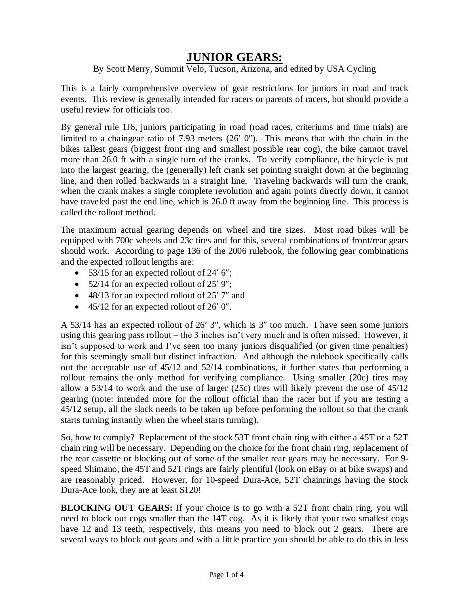## **JUNIOR GEARS:**

## By Scott Merry, Summit Velo, Tucson, Arizona, and edited by USA Cycling

This is a fairly comprehensive overview of gear restrictions for juniors in road and track events. This review is generally intended for racers or parents of racers, but should provide a useful review for officials too.

By general rule 1J6, juniors participating in road (road races, criteriums and time trials) are limited to a chaingear ratio of 7.93 meters  $(26' 0'')$ . This means that with the chain in the bikes tallest gears (biggest front ring and smallest possible rear cog), the bike cannot travel more than 26.0 ft with a single turn of the cranks. To verify compliance, the bicycle is put into the largest gearing, the (generally) left crank set pointing straight down at the beginning line, and then rolled backwards in a straight line. Traveling backwards will turn the crank, when the crank makes a single complete revolution and again points directly down, it cannot have traveled past the end line, which is 26.0 ft away from the beginning line. This process is called the rollout method.

The maximum actual gearing depends on wheel and tire sizes. Most road bikes will be equipped with 700c wheels and 23c tires and for this, several combinations of front/rear gears should work. According to page 136 of the 2006 rulebook, the following gear combinations and the expected rollout lengths are:

- 53/15 for an expected rollout of 24' 6";
- 52/14 for an expected rollout of  $25'$  9";
- $\bullet$  48/13 for an expected rollout of 25' 7" and
- $\bullet$  45/12 for an expected rollout of 26' 0".

A 53/14 has an expected rollout of 26' 3", which is 3" too much. I have seen some juniors using this gearing pass rollout – the 3 inches isn't very much and is often missed. However, it isn't supposed to work and I've seen too many juniors disqualified (or given time penalties) for this seemingly small but distinct infraction. And although the rulebook specifically calls out the acceptable use of 45/12 and 52/14 combinations, it further states that performing a rollout remains the only method for verifying compliance. Using smaller (20c) tires may allow a 53/14 to work and the use of larger (25c) tires will likely prevent the use of 45/12 gearing (note: intended more for the rollout official than the racer but if you are testing a 45/12 setup, all the slack needs to be taken up before performing the rollout so that the crank starts turning instantly when the wheel starts turning).

So, how to comply? Replacement of the stock 53T front chain ring with either a 45T or a 52T chain ring will be necessary. Depending on the choice for the front chain ring, replacement of the rear cassette or blocking out of some of the smaller rear gears may be necessary. For 9 speed Shimano, the 45T and 52T rings are fairly plentiful (look on eBay or at bike swaps) and are reasonably priced. However, for 10-speed Dura-Ace, 52T chainrings having the stock Dura-Ace look, they are at least \$120!

**BLOCKING OUT GEARS:** If your choice is to go with a 52T front chain ring, you will need to block out cogs smaller than the 14T cog. As it is likely that your two smallest cogs have 12 and 13 teeth, respectively, this means you need to block out 2 gears. There are several ways to block out gears and with a little practice you should be able to do this in less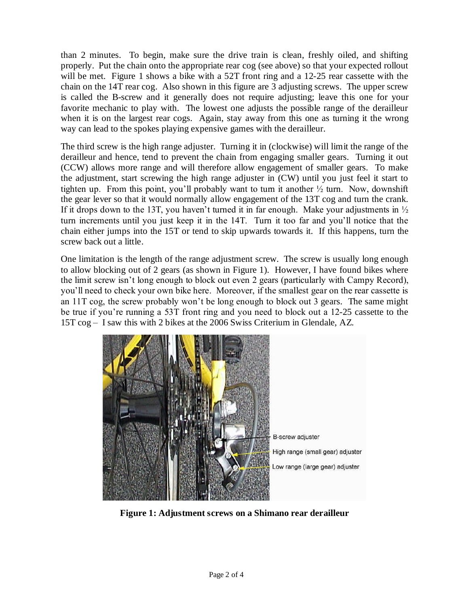than 2 minutes. To begin, make sure the drive train is clean, freshly oiled, and shifting properly. Put the chain onto the appropriate rear cog (see above) so that your expected rollout will be met. Figure 1 shows a bike with a 52T front ring and a 12-25 rear cassette with the chain on the 14T rear cog. Also shown in this figure are 3 adjusting screws. The upper screw is called the B-screw and it generally does not require adjusting; leave this one for your favorite mechanic to play with. The lowest one adjusts the possible range of the derailleur when it is on the largest rear cogs. Again, stay away from this one as turning it the wrong way can lead to the spokes playing expensive games with the derailleur.

The third screw is the high range adjuster. Turning it in (clockwise) will limit the range of the derailleur and hence, tend to prevent the chain from engaging smaller gears. Turning it out (CCW) allows more range and will therefore allow engagement of smaller gears. To make the adjustment, start screwing the high range adjuster in (CW) until you just feel it start to tighten up. From this point, you'll probably want to turn it another  $\frac{1}{2}$  turn. Now, downshift the gear lever so that it would normally allow engagement of the 13T cog and turn the crank. If it drops down to the 13T, you haven't turned it in far enough. Make your adjustments in  $\frac{1}{2}$ turn increments until you just keep it in the 14T. Turn it too far and you'll notice that the chain either jumps into the 15T or tend to skip upwards towards it. If this happens, turn the screw back out a little.

One limitation is the length of the range adjustment screw. The screw is usually long enough to allow blocking out of 2 gears (as shown in Figure 1). However, I have found bikes where the limit screw isn't long enough to block out even 2 gears (particularly with Campy Record), you'll need to check your own bike here. Moreover, if the smallest gear on the rear cassette is an 11T cog, the screw probably won't be long enough to block out 3 gears. The same might be true if you're running a 53T front ring and you need to block out a 12-25 cassette to the 15T cog – I saw this with 2 bikes at the 2006 Swiss Criterium in Glendale, AZ.



**Figure 1: Adjustment screws on a Shimano rear derailleur**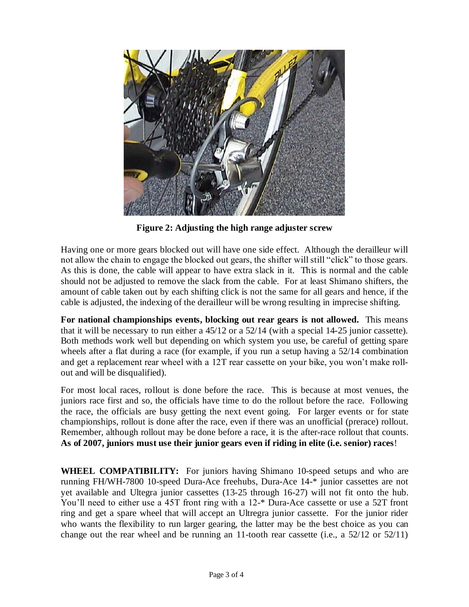

**Figure 2: Adjusting the high range adjuster screw**

Having one or more gears blocked out will have one side effect. Although the derailleur will not allow the chain to engage the blocked out gears, the shifter will still "click" to those gears. As this is done, the cable will appear to have extra slack in it. This is normal and the cable should not be adjusted to remove the slack from the cable. For at least Shimano shifters, the amount of cable taken out by each shifting click is not the same for all gears and hence, if the cable is adjusted, the indexing of the derailleur will be wrong resulting in imprecise shifting.

**For national championships events, blocking out rear gears is not allowed.** This means that it will be necessary to run either a 45/12 or a 52/14 (with a special 14-25 junior cassette). Both methods work well but depending on which system you use, be careful of getting spare wheels after a flat during a race (for example, if you run a setup having a 52/14 combination and get a replacement rear wheel with a 12T rear cassette on your bike, you won't make rollout and will be disqualified).

For most local races, rollout is done before the race. This is because at most venues, the juniors race first and so, the officials have time to do the rollout before the race. Following the race, the officials are busy getting the next event going. For larger events or for state championships, rollout is done after the race, even if there was an unofficial (prerace) rollout. Remember, although rollout may be done before a race, it is the after-race rollout that counts. **As of 2007, juniors must use their junior gears even if riding in elite (i.e. senior) races**!

**WHEEL COMPATIBILITY:** For juniors having Shimano 10-speed setups and who are running FH/WH-7800 10-speed Dura-Ace freehubs, Dura-Ace 14-\* junior cassettes are not yet available and Ultegra junior cassettes (13-25 through 16-27) will not fit onto the hub. You'll need to either use a 45T front ring with a 12-\* Dura-Ace cassette or use a 52T front ring and get a spare wheel that will accept an Ultregra junior cassette. For the junior rider who wants the flexibility to run larger gearing, the latter may be the best choice as you can change out the rear wheel and be running an 11-tooth rear cassette (i.e., a  $52/12$  or  $52/11$ )